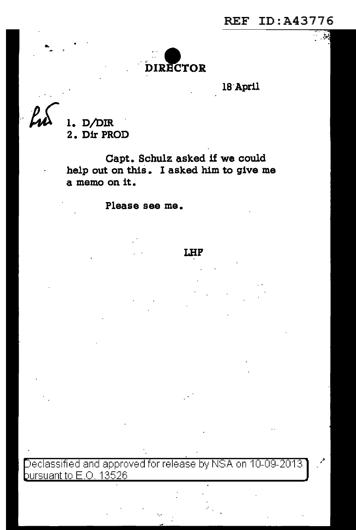أكثر



**lB·April** 

Lu

..

**1. D/DIR** . **2. Dir PROD** 

**Capt. Schulz asked if we could help out on this** . I **asked him to give me a memo on it.** 

**Please see me.** 

## **I.HF**

eclassified and approved for release by NSA on 10-09-2013 bursuant to  $E$ .O. 13526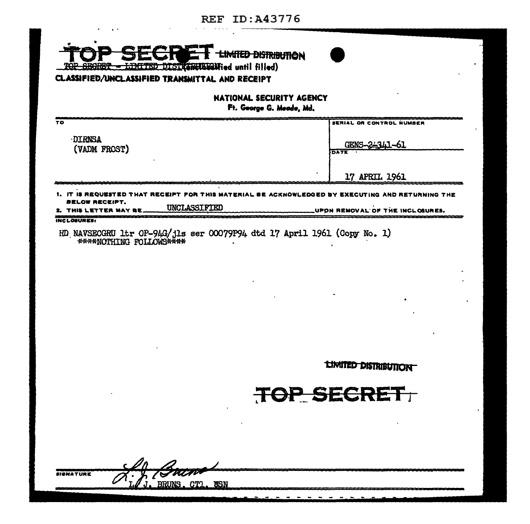## REF ID:A43776

 $\mathbf{r}$ 

| NATIONAL SECURITY AGENCY                                              |                               |
|-----------------------------------------------------------------------|-------------------------------|
| Ft. George G. Meade, Md.<br>TO                                        | SERIAL OR CONTROL NUMBER      |
|                                                                       |                               |
| <b>DIRNSA</b><br>(VADM FROST)                                         | GENS-2-341-61<br><b>DATE</b>  |
|                                                                       |                               |
|                                                                       | 17 APRIL 1961                 |
| 1、 IT IS REQUESTI<br>D THAT RECEIPT FOR THIS MATERIAL BE ACKNOWLEDGED | Y EXECUTING AND RETURNING THE |
| BELOW RECEIPT.                                                        |                               |
| UNCLASSIFIED<br>ETTER MA<br><b>INCLOSURES!</b>                        | UPON REMOVA<br>OF THE INCLOSU |
|                                                                       |                               |
|                                                                       | <b>LIMITED DISTRIBUTION</b>   |
|                                                                       | TOP SECRET                    |
|                                                                       |                               |

 $\cdot$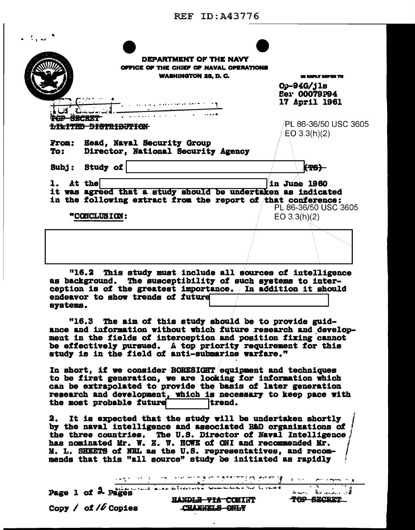| DEPARTMENT OF THE NAVY<br>OFFICE OF THE CHIEF OF NAVAL OPERATIONS<br><b>WASHINGTON 25, D. C.</b>                                                    | UI REPLY REFER TO                             |
|-----------------------------------------------------------------------------------------------------------------------------------------------------|-----------------------------------------------|
|                                                                                                                                                     | $Op-94G/jls$<br>Ser 00079P94<br>17 April 1961 |
| <del>DISTRIBUT</del><br>1717 TIBE<br><b>Head, Naval Security Group</b><br><b>From:</b><br>To:                                                       | PL 86-36/50 USC 3605<br>EO 3.3(h)(2)          |
| Director, National Security Agency<br>Subj: Study of<br>At the                                                                                      | (TS)<br>in June 1960                          |
| it was agreed that a study should be undertaken as indicated<br>in the following extract from the report of that conference:<br><b>"CONCLUSION:</b> | PL 86-36/50 USC 3605<br>EO $3.3(h)(2)$        |
|                                                                                                                                                     |                                               |

as background. The susceptibility of such systems to interception is of the greatest importance. In addition it should endeavor to show trends of future systems.

"16.3 The aim of this study should be to provide guidance and information without which future research and development in the fields of interception and position fixing cannot be effectively pursued. A top priority requirement for this study is in the field of anti-submarine warfare."

In short, if we consider BORESIGHT equipment and techniques to be first generation, we are looking for information which can be extrapolated to provide the basis of later generation research and development, which is necessary to keep pace with the most probable future trend.

2. It is expected that the study will be undertaken shortly by the naval intelligence and associated R&D organizations of the three countries. The U.S. Director of Naval Intelligence has nominated Mr. W. E. W. HOWE of ONI and recommended Mr. M. L. SHEETS of NRL as the U.S. representatives, and recommends that this "all source" study be initiated as rapidly

उपयुज्य का उत्तर पर कारण के सात है जो पहुंच होता है से सात रही है

Page 1 of 2 pages Copy  $\ell$  of  $\ell\ell$  Copies

HANDLE-VIA COMINT CHANNELS ONLY

 $k = 1, 2, 3, 5, 7, 7, 8$ TOP SECRET

 $\sim$   $\,$